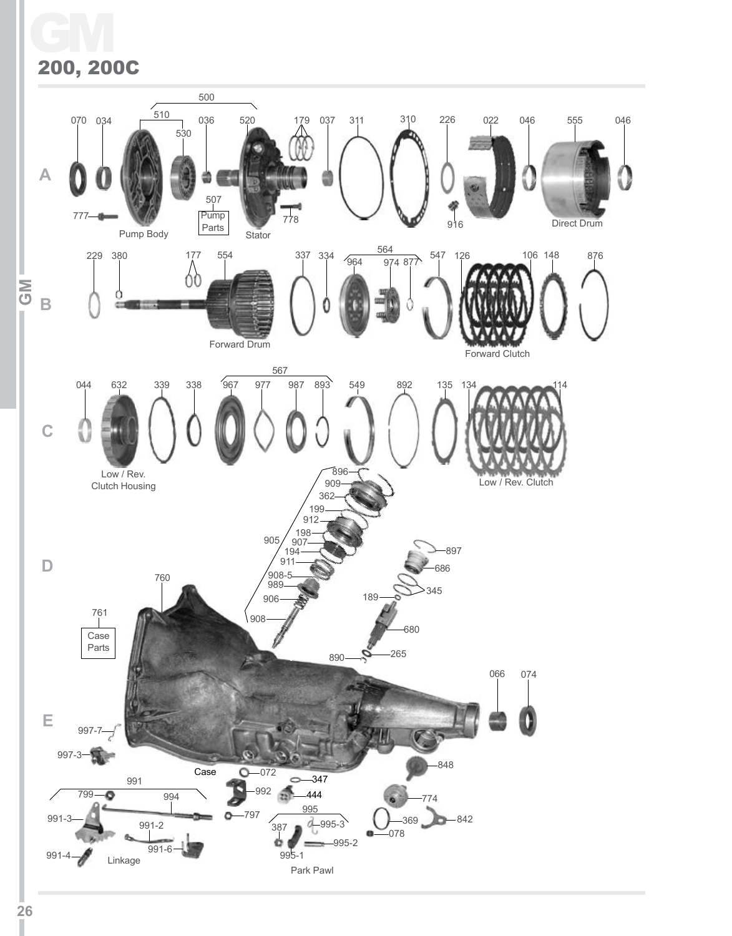GM 200, 200C